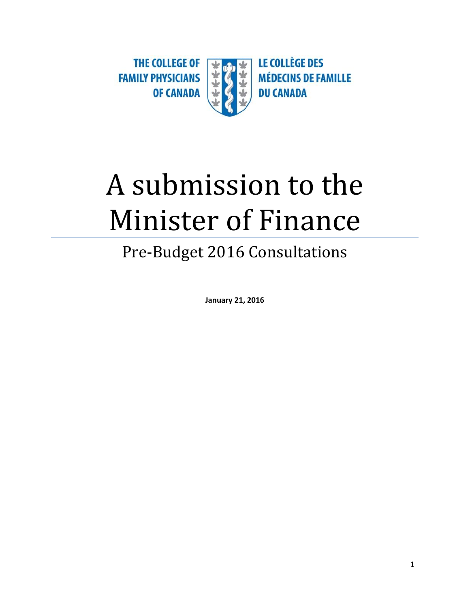THE COLLEGE OF **LE COLLÈGE DES MÉDECINS DE FAMILLE FAMILY PHYSICIANS OF CANADA DU CANADA** 

# A submission to the Minister of Finance

# Pre-Budget 2016 Consultations

**January 21, 2016**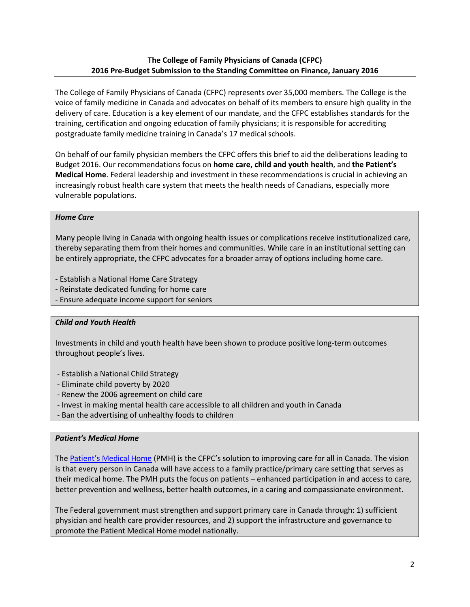### **The College of Family Physicians of Canada (CFPC) 2016 Pre-Budget Submission to the Standing Committee on Finance, January 2016**

The College of Family Physicians of Canada (CFPC) represents over 35,000 members. The College is the voice of family medicine in Canada and advocates on behalf of its members to ensure high quality in the delivery of care. Education is a key element of our mandate, and the CFPC establishes standards for the training, certification and ongoing education of family physicians; it is responsible for accrediting postgraduate family medicine training in Canada's 17 medical schools.

On behalf of our family physician members the CFPC offers this brief to aid the deliberations leading to Budget 2016. Our recommendations focus on **home care, child and youth health**, and **the Patient's Medical Home**. Federal leadership and investment in these recommendations is crucial in achieving an increasingly robust health care system that meets the health needs of Canadians, especially more vulnerable populations.

#### *Home Care*

Many people living in Canada with ongoing health issues or complications receive institutionalized care, thereby separating them from their homes and communities. While care in an institutional setting can be entirely appropriate, the CFPC advocates for a broader array of options including home care.

- Establish a National Home Care Strategy
- Reinstate dedicated funding for home care
- Ensure adequate income support for seniors

#### *Child and Youth Health*

Investments in child and youth health have been shown to produce positive long-term outcomes throughout people's lives.

- Establish a National Child Strategy
- Eliminate child poverty by 2020
- Renew the 2006 agreement on child care
- Invest in making mental health care accessible to all children and youth in Canada
- Ban the advertising of unhealthy foods to children

#### *Patient's Medical Home*

The [Patient's Medical Home](http://patientsmedicalhome.ca/) (PMH) is the CFPC's solution to improving care for all in Canada. The vision is that every person in Canada will have access to a family practice/primary care setting that serves as their medical home. The PMH puts the focus on patients – enhanced participation in and access to care, better prevention and wellness, better health outcomes, in a caring and compassionate environment.

The Federal government must strengthen and support primary care in Canada through: 1) sufficient physician and health care provider resources, and 2) support the infrastructure and governance to promote the Patient Medical Home model nationally.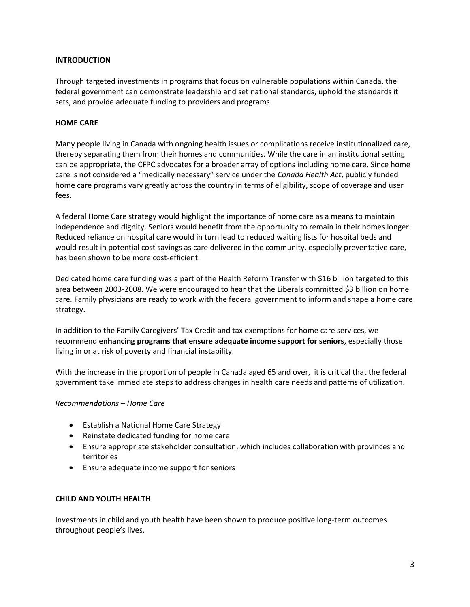#### **INTRODUCTION**

Through targeted investments in programs that focus on vulnerable populations within Canada, the federal government can demonstrate leadership and set national standards, uphold the standards it sets, and provide adequate funding to providers and programs.

#### **HOME CARE**

Many people living in Canada with ongoing health issues or complications receive institutionalized care, thereby separating them from their homes and communities. While the care in an institutional setting can be appropriate, the CFPC advocates for a broader array of options including home care. Since home care is not considered a "medically necessary" service under the *Canada Health Act*, publicly funded home care programs vary greatly across the country in terms of eligibility, scope of coverage and user fees.

A federal Home Care strategy would highlight the importance of home care as a means to maintain independence and dignity. Seniors would benefit from the opportunity to remain in their homes longer. Reduced reliance on hospital care would in turn lead to reduced waiting lists for hospital beds and would result in potential cost savings as care delivered in the community, especially preventative care, has been shown to be more cost-efficient.

Dedicated home care funding was a part of the Health Reform Transfer with \$16 billion targeted to this area between 2003-2008. We were encouraged to hear that the Liberals committed \$3 billion on home care. Family physicians are ready to work with the federal government to inform and shape a home care strategy.

In addition to the Family Caregivers' Tax Credit and tax exemptions for home care services, we recommend **enhancing programs that ensure adequate income support for seniors**, especially those living in or at risk of poverty and financial instability.

With the increase in the proportion of people in Canada aged 65 and over, it is critical that the federal government take immediate steps to address changes in health care needs and patterns of utilization.

#### *Recommendations – Home Care*

- Establish a National Home Care Strategy
- Reinstate dedicated funding for home care
- Ensure appropriate stakeholder consultation, which includes collaboration with provinces and territories
- Ensure adequate income support for seniors

#### **CHILD AND YOUTH HEALTH**

Investments in child and youth health have been shown to produce positive long-term outcomes throughout people's lives.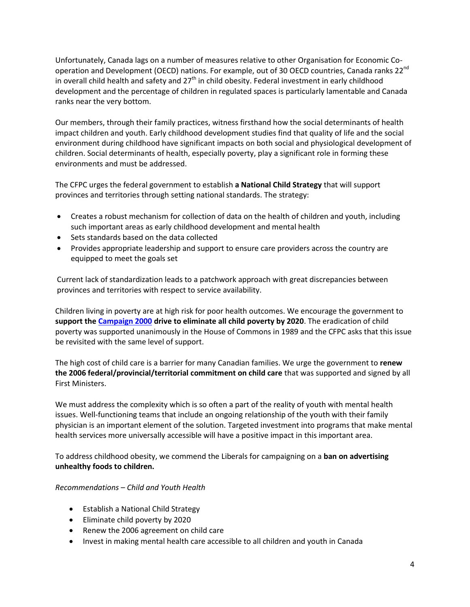Unfortunately, Canada lags on a number of measures relative to other Organisation for Economic Cooperation and Development (OECD) nations. For example, out of 30 OECD countries, Canada ranks 22<sup>nd</sup> in overall child health and safety and 27<sup>th</sup> in child obesity. Federal investment in early childhood development and the percentage of children in regulated spaces is particularly lamentable and Canada ranks near the very bottom.

Our members, through their family practices, witness firsthand how the social determinants of health impact children and youth. Early childhood development studies find that quality of life and the social environment during childhood have significant impacts on both social and physiological development of children. Social determinants of health, especially poverty, play a significant role in forming these environments and must be addressed.

The CFPC urges the federal government to establish **a National Child Strategy** that will support provinces and territories through setting national standards. The strategy:

- Creates a robust mechanism for collection of data on the health of children and youth, including such important areas as early childhood development and mental health
- Sets standards based on the data collected
- Provides appropriate leadership and support to ensure care providers across the country are equipped to meet the goals set

Current lack of standardization leads to a patchwork approach with great discrepancies between provinces and territories with respect to service availability.

Children living in poverty are at high risk for poor health outcomes. We encourage the government to **support the [Campaign 2000](http://www.campaign2000.ca/) drive to eliminate all child poverty by 2020**. The eradication of child poverty was supported unanimously in the House of Commons in 1989 and the CFPC asks that this issue be revisited with the same level of support.

The high cost of child care is a barrier for many Canadian families. We urge the government to **renew the 2006 federal/provincial/territorial commitment on child care** that was supported and signed by all First Ministers.

We must address the complexity which is so often a part of the reality of youth with mental health issues. Well-functioning teams that include an ongoing relationship of the youth with their family physician is an important element of the solution. Targeted investment into programs that make mental health services more universally accessible will have a positive impact in this important area.

To address childhood obesity, we commend the Liberals for campaigning on a **ban on advertising unhealthy foods to children.**

#### *Recommendations – Child and Youth Health*

- Establish a National Child Strategy
- Eliminate child poverty by 2020
- Renew the 2006 agreement on child care
- Invest in making mental health care accessible to all children and youth in Canada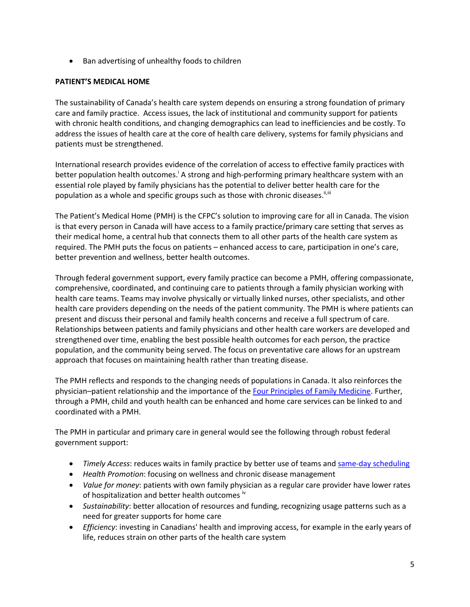• Ban advertising of unhealthy foods to children

## **PATIENT'S MEDICAL HOME**

The sustainability of Canada's health care system depends on ensuring a strong foundation of primary care and family practice. Access issues, the lack of institutional and community support for patients with chronic health conditions, and changing demographics can lead to inefficiencies and be costly. To address the issues of health care at the core of health care delivery, systems for family physicians and patients must be strengthened.

International research provides evidence of the correlation of access to effective family practices with better population health outcomes.<sup>1</sup> A strong and high-performing primary healthcare system with an essential role played by family physicians has the potential to deliver better health care for the population as a whole and specific groups such as those with chronic diseases.<sup>ii,iii</sup>

The Patient's Medical Home (PMH) is the CFPC's solution to improving care for all in Canada. The vision is that every person in Canada will have access to a family practice/primary care setting that serves as their medical home, a central hub that connects them to all other parts of the health care system as required. The PMH puts the focus on patients – enhanced access to care, participation in one's care, better prevention and wellness, better health outcomes.

Through federal government support, every family practice can become a PMH, offering compassionate, comprehensive, coordinated, and continuing care to patients through a family physician working with health care teams. Teams may involve physically or virtually linked nurses, other specialists, and other health care providers depending on the needs of the patient community. The PMH is where patients can present and discuss their personal and family health concerns and receive a full spectrum of care. Relationships between patients and family physicians and other health care workers are developed and strengthened over time, enabling the best possible health outcomes for each person, the practice population, and the community being served. The focus on preventative care allows for an upstream approach that focuses on maintaining health rather than treating disease.

The PMH reflects and responds to the changing needs of populations in Canada. It also reinforces the physician–patient relationship and the importance of the [Four Principles of Family Medicine.](http://www.cfpc.ca/Principles/) Further, through a PMH, child and youth health can be enhanced and home care services can be linked to and coordinated with a PMH.

The PMH in particular and primary care in general would see the following through robust federal government support:

- *Timely Access*: reduces waits in family practice by better use of teams and [same-day scheduling](http://www.cfpc.ca/uploadedFiles/Health_Policy/_PDFs/2012_Final_Best_Advice_Enhancing_Timely_Access.pdf)
- *Health Promotion*: focusing on wellness and chronic disease management
- *Value for money*: patients with own family physician as a regular care provider have lower rates of hospitalization and better health outcomes "
- *Sustainability*: better allocation of resources and funding, recognizing usage patterns such as a need for greater supports for home care
- *Efficiency*: investing in Canadians' health and improving access, for example in the early years of life, reduces strain on other parts of the health care system